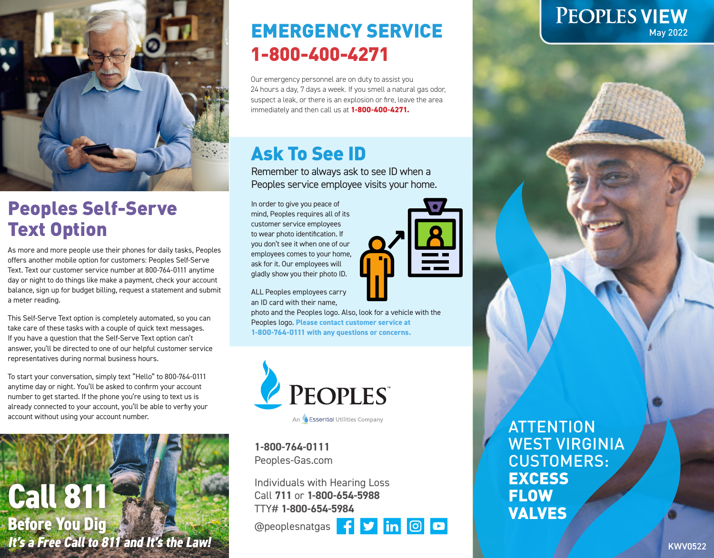

### Peoples Self-Serve Text Option

As more and more people use their phones for daily tasks, Peoples offers another mobile option for customers: Peoples Self-Serve Text. Text our customer service number at 800-764-0111 anytime day or night to do things like make a payment, check your account balance, sign up for budget billing, request a statement and submit a meter reading.

This Self-Serve Text option is completely automated, so you can take care of these tasks with a couple of quick text messages. If you have a question that the Self-Serve Text option can't answer, you'll be directed to one of our helpful customer service representatives during normal business hours.

To start your conversation, simply text "Hello" to 800-764-0111 anytime day or night. You'll be asked to confirm your account number to get started. If the phone you're using to text us is already connected to your account, you'll be able to verfiy your account without using your account number.



# EMERGENCY SERVICE 1-800-400-4271

Our emergency personnel are on duty to assist you 24 hours a day, 7 days a week. If you smell a natural gas odor, suspect a leak, or there is an explosion or fire, leave the area immediately and then call us at **1-800-400-4271.**

# Ask To See ID

Remember to always ask to see ID when a Peoples service employee visits your home.

In order to give you peace of mind, Peoples requires all of its customer service employees to wear photo identification. If you don't see it when one of our employees comes to your home, ask for it. Our employees will gladly show you their photo ID.

ALL Peoples employees carry an ID card with their name,

photo and the Peoples logo. Also, look for a vehicle with the Peoples logo. **Please contact customer service at 1-800-764-0111 with any questions or concerns.**



An **SESSENT** Utilities Company

**1-800-764-0111** Peoples-Gas.com

Individuals with Hearing Loss Call **711** or **1-800-654-5988** TTY# **1-800-654-5984**



### **PEOPLES VIEW** May 2022